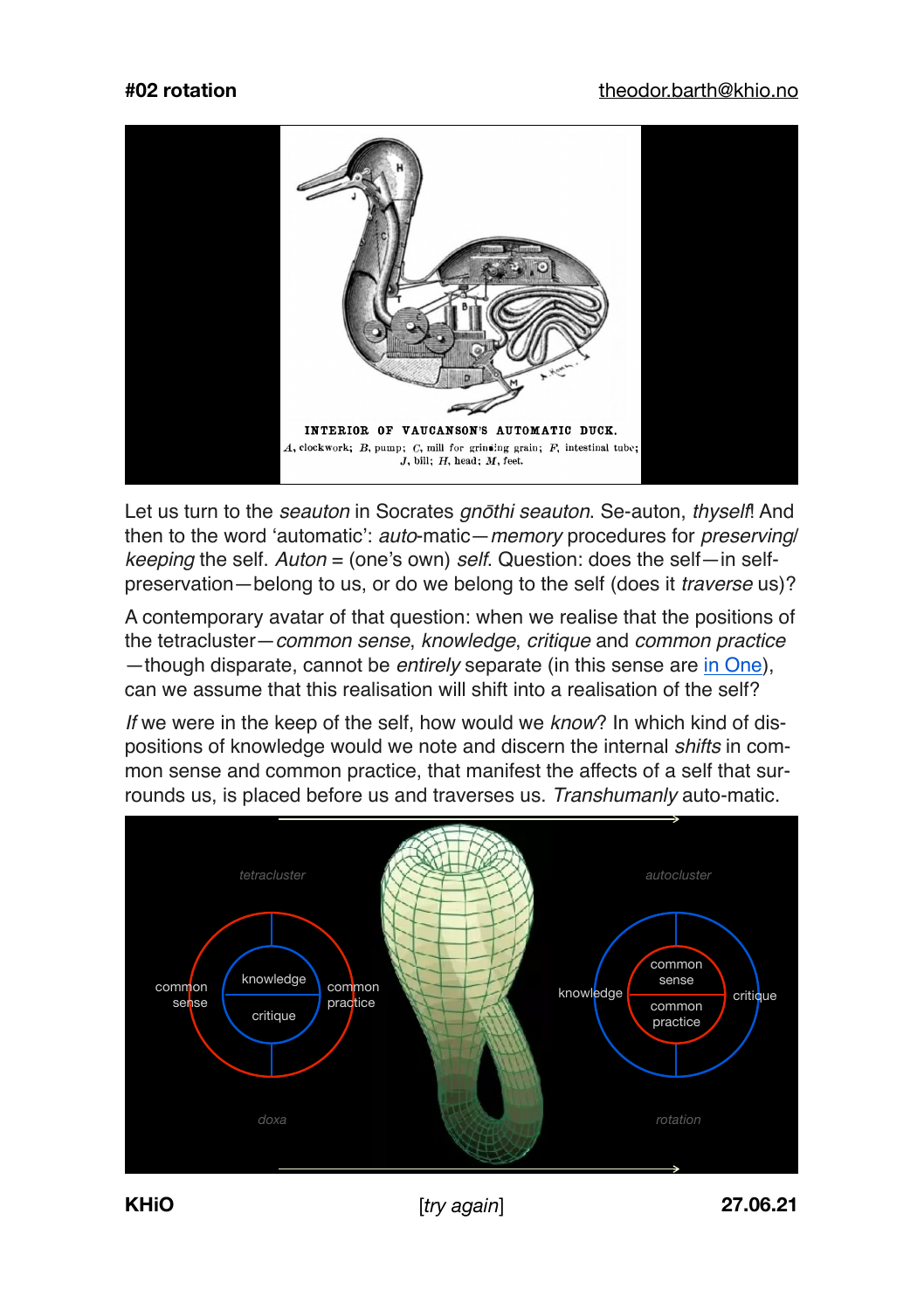

Let us turn to the *seauton* in Socrates *gn*ō*thi seauton*. Se-auton, *thyself*! And then to the word 'automatic': *auto*-matic—*memory* procedures for *preserving*/ *keeping* the self. *Auton* = (one's own) *self*. Question: does the self—in selfpreservation—belong to us, or do we belong to the self (does it *traverse* us)?

A contemporary avatar of that question: when we realise that the positions of the tetracluster—*common sense*, *knowledge*, *critique* and *common practice* —though disparate, cannot be *entirely* separate (in this sense are [in One](https://monoskop.org/images/2/2b/Laruelle_Francois_Dictionary_of_Non-Philosophy.pdf)), can we assume that this realisation will shift into a realisation of the self?

*If* we were in the keep of the self, how would we *know*? In which kind of dispositions of knowledge would we note and discern the internal *shifts* in common sense and common practice, that manifest the affects of a self that surrounds us, is placed before us and traverses us. *Transhumanly* auto-matic.